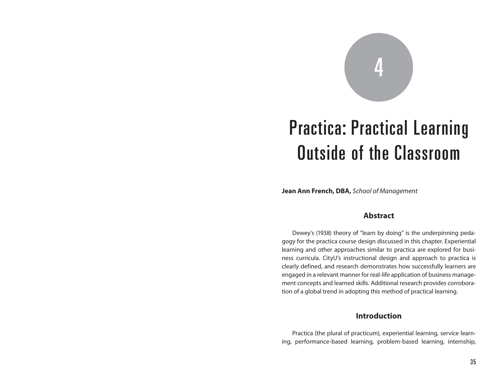# 4 Practica: Practical Learning Outside of the Classroom

**Jean Ann French, DBA,** *School of Management*

#### **Abstract**

Dewey's (1938) theory of "learn by doing" is the underpinning pedagogy for the practica course design discussed in this chapter. Experiential learning and other approaches similar to practica are explored for business curricula. CityU's instructional design and approach to practica is clearly defined, and research demonstrates how successfully learners are engaged in a relevant manner for real-life application of business management concepts and learned skills. Additional research provides corroboration of a global trend in adopting this method of practical learning.

# **Introduction**

Practica (the plural of practicum), experiential learning, service learning, performance-based learning, problem-based learning, internship,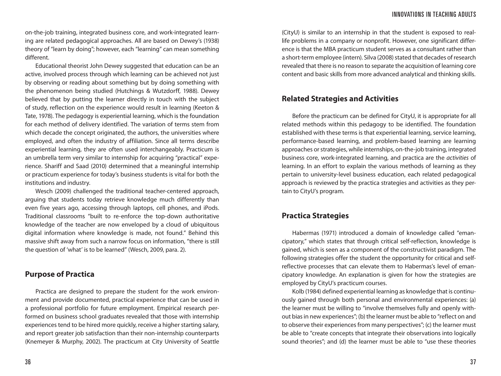on-the-job training, integrated business core, and work-integrated learning are related pedagogical approaches. All are based on Dewey's (1938) theory of "learn by doing"; however, each "learning" can mean something different.

Educational theorist John Dewey suggested that education can be an active, involved process through which learning can be achieved not just by observing or reading about something but by doing something with the phenomenon being studied (Hutchings & Wutzdorff, 1988). Dewey believed that by putting the learner directly in touch with the subject of study, reflection on the experience would result in learning (Keeton & Tate, 1978). The pedagogy is experiential learning, which is the foundation for each method of delivery identified. The variation of terms stem from which decade the concept originated, the authors, the universities where employed, and often the industry of affiliation. Since all terms describe experiential learning, they are often used interchangeably. Practicum is an umbrella term very similar to internship for acquiring "practical" experience. Shariff and Saad (2010) determined that a meaningful internship or practicum experience for today's business students is vital for both the institutions and industry.

Wesch (2009) challenged the traditional teacher-centered approach, arguing that students today retrieve knowledge much differently than even five years ago, accessing through laptops, cell phones, and iPods. Traditional classrooms "built to re-enforce the top-down authoritative knowledge of the teacher are now enveloped by a cloud of ubiquitous digital information where knowledge is made, not found." Behind this massive shift away from such a narrow focus on information, "there is still the question of 'what' is to be learned" (Wesch, 2009, para. 2).

#### **Purpose of Practica**

Practica are designed to prepare the student for the work environment and provide documented, practical experience that can be used in a professional portfolio for future employment. Empirical research performed on business school graduates revealed that those with internship experiences tend to be hired more quickly, receive a higher starting salary, and report greater job satisfaction than their non-internship counterparts (Knemeyer & Murphy, 2002). The practicum at City University of Seattle

(CityU) is similar to an internship in that the student is exposed to reallife problems in a company or nonprofit. However, one significant difference is that the MBA practicum student serves as a consultant rather than a short-term employee (intern). Silva (2008) stated that decades of research revealed that there is no reason to separate the acquisition of learning core content and basic skills from more advanced analytical and thinking skills.

#### **Related Strategies and Activities**

Before the practicum can be defined for CityU, it is appropriate for all related methods within this pedagogy to be identified. The foundation established with these terms is that experiential learning, service learning, performance-based learning, and problem-based learning are learning approaches or strategies, while internships, on-the-job training, integrated business core, work-integrated learning, and practica are the *activities* of learning. In an effort to explain the various methods of learning as they pertain to university-level business education, each related pedagogical approach is reviewed by the practica strategies and activities as they pertain to CityU's program.

## **Practica Strategies**

Habermas (1971) introduced a domain of knowledge called "emancipatory," which states that through critical self-reflection, knowledge is gained, which is seen as a component of the constructivist paradigm. The following strategies offer the student the opportunity for critical and selfreflective processes that can elevate them to Habermas's level of emancipatory knowledge. An explanation is given for how the strategies are employed by CityU's practicum courses.

Kolb (1984) defined experiential learning as knowledge that is continuously gained through both personal and environmental experiences: (a) the learner must be willing to "involve themselves fully and openly without bias in new experiences"; (b) the learner must be able to "reflect on and to observe their experiences from many perspectives"; (c) the learner must be able to "create concepts that integrate their observations into logically sound theories"; and (d) the learner must be able to "use these theories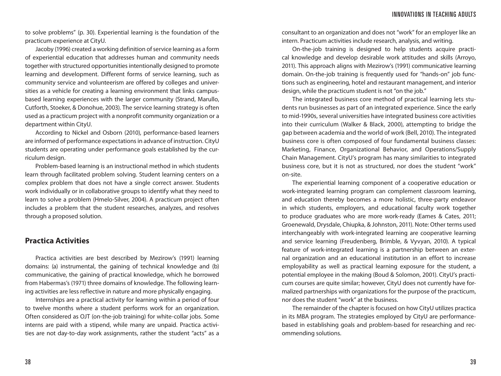to solve problems" (p. 30). Experiential learning is the foundation of the practicum experience at CityU.

Jacoby (1996) created a working definition of service learning as a form of experiential education that addresses human and community needs together with structured opportunities intentionally designed to promote learning and development. Different forms of service learning, such as community service and volunteerism are offered by colleges and universities as a vehicle for creating a learning environment that links campusbased learning experiences with the larger community (Strand, Marullo, Cutforth, Stoeker, & Donohue, 2003). The service learning strategy is often used as a practicum project with a nonprofit community organization or a department within CityU.

According to Nickel and Osborn (2010), performance-based learners are informed of performance expectations in advance of instruction. CityU students are operating under performance goals established by the curriculum design.

Problem-based learning is an instructional method in which students learn through facilitated problem solving. Student learning centers on a complex problem that does not have a single correct answer. Students work individually or in collaborative groups to identify what they need to learn to solve a problem (Hmelo-Silver, 2004). A practicum project often includes a problem that the student researches, analyzes, and resolves through a proposed solution.

#### **Practica Activities**

Practica activities are best described by Mezirow's (1991) learning domains: (a) instrumental, the gaining of technical knowledge and (b) communicative, the gaining of practical knowledge, which he borrowed from Habermas's (1971) three domains of knowledge. The following learning activities are less reflective in nature and more physically engaging.

Internships are a practical activity for learning within a period of four to twelve months where a student performs work for an organization. Often considered as OJT (on-the-job training) for white-collar jobs. Some interns are paid with a stipend, while many are unpaid. Practica activities are not day-to-day work assignments, rather the student "acts" as a

consultant to an organization and does not "work" for an employer like an intern. Practicum activities include research, analysis, and writing.

On-the-job training is designed to help students acquire practical knowledge and develop desirable work attitudes and skills (Arroyo, 2011). This approach aligns with Mezirow's (1991) communicative learning domain. On-the-job training is frequently used for "hands-on" job functions such as engineering, hotel and restaurant management, and interior design, while the practicum student is not "on the job."

The integrated business core method of practical learning lets students run businesses as part of an integrated experience. Since the early to mid-1990s, several universities have integrated business core activities into their curriculum (Walker & Black, 2000), attempting to bridge the gap between academia and the world of work (Bell, 2010). The integrated business core is often composed of four fundamental business classes: Marketing, Finance, Organizational Behavior, and Operations/Supply Chain Management. CityU's program has many similarities to integrated business core, but it is not as structured, nor does the student "work" on-site.

The experiential learning component of a cooperative education or work-integrated learning program can complement classroom learning, and education thereby becomes a more holistic, three-party endeavor in which students, employers, and educational faculty work together to produce graduates who are more work-ready (Eames & Cates, 2011; Groenewald, Drysdale, Chiupka, & Johnston, 2011). Note: Other terms used interchangeably with work-integrated learning are cooperative learning and service learning (Freudenberg, Brimble, & Vyvyan, 2010). A typical feature of work-integrated learning is a partnership between an external organization and an educational institution in an effort to increase employability as well as practical learning exposure for the student, a potential employee in the making (Boud & Solomon, 2001). CityU's practicum courses are quite similar; however, CityU does not currently have formalized partnerships with organizations for the purpose of the practicum, nor does the student "work" at the business.

The remainder of the chapter is focused on how CityU utilizes practica in its MBA program. The strategies employed by CityU are performancebased in establishing goals and problem-based for researching and recommending solutions.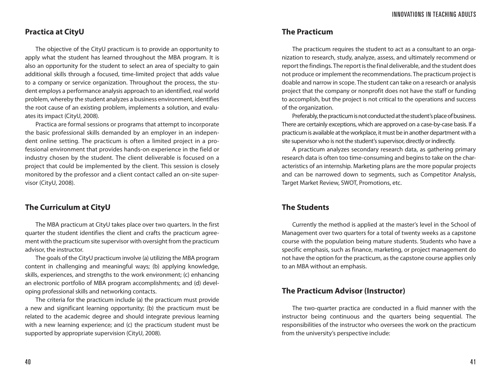## **Practica at CityU**

The objective of the CityU practicum is to provide an opportunity to apply what the student has learned throughout the MBA program. It is also an opportunity for the student to select an area of specialty to gain additional skills through a focused, time-limited project that adds value to a company or service organization. Throughout the process, the student employs a performance analysis approach to an identified, real world problem, whereby the student analyzes a business environment, identifies the root cause of an existing problem, implements a solution, and evaluates its impact (CityU, 2008).

Practica are formal sessions or programs that attempt to incorporate the basic professional skills demanded by an employer in an independent online setting. The practicum is often a limited project in a professional environment that provides hands-on experience in the field or industry chosen by the student. The client deliverable is focused on a project that could be implemented by the client. This session is closely monitored by the professor and a client contact called an on-site supervisor (CityU, 2008).

#### **The Curriculum at CityU**

The MBA practicum at CityU takes place over two quarters. In the first quarter the student identifies the client and crafts the practicum agreement with the practicum site supervisor with oversight from the practicum advisor, the instructor.

The goals of the CityU practicum involve (a) utilizing the MBA program content in challenging and meaningful ways; (b) applying knowledge, skills, experiences, and strengths to the work environment; (c) enhancing an electronic portfolio of MBA program accomplishments; and (d) developing professional skills and networking contacts.

The criteria for the practicum include (a) the practicum must provide a new and significant learning opportunity; (b) the practicum must be related to the academic degree and should integrate previous learning with a new learning experience; and (c) the practicum student must be supported by appropriate supervision (CityU, 2008).

#### **The Practicum**

The practicum requires the student to act as a consultant to an organization to research, study, analyze, assess, and ultimately recommend or report the findings. The report is the final deliverable, and the student does not produce or implement the recommendations. The practicum project is doable and narrow in scope. The student can take on a research or analysis project that the company or nonprofit does not have the staff or funding to accomplish, but the project is not critical to the operations and success of the organization.

Preferably, the practicum is not conducted at the student's place of business. There are certainly exceptions, which are approved on a case-by-case basis. If a practicum is available at the workplace, it must be in another department with a site supervisor who is not the student's supervisor, directly or indirectly.

A practicum analyzes secondary research data, as gathering primary research data is often too time-consuming and begins to take on the characteristics of an internship. Marketing plans are the more popular projects and can be narrowed down to segments, such as Competitor Analysis, Target Market Review, SWOT, Promotions, etc.

# **The Students**

Currently the method is applied at the master's level in the School of Management over two quarters for a total of twenty weeks as a capstone course with the population being mature students. Students who have a specific emphasis, such as finance, marketing, or project management do not have the option for the practicum, as the capstone course applies only to an MBA without an emphasis.

#### **The Practicum Advisor (Instructor)**

The two-quarter practica are conducted in a fluid manner with the instructor being continuous and the quarters being sequential. The responsibilities of the instructor who oversees the work on the practicum from the university's perspective include: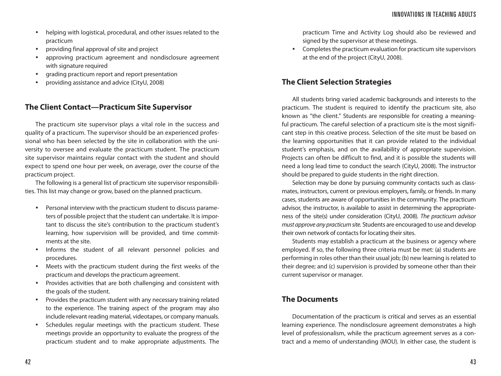- helping with logistical, procedural, and other issues related to the practicum
- y providing final approval of site and project
- approving practicum agreement and nondisclosure agreement with signature required
- grading practicum report and report presentation
- y providing assistance and advice (CityU, 2008)

# **The Client Contact—Practicum Site Supervisor**

The practicum site supervisor plays a vital role in the success and quality of a practicum. The supervisor should be an experienced professional who has been selected by the site in collaboration with the university to oversee and evaluate the practicum student. The practicum site supervisor maintains regular contact with the student and should expect to spend one hour per week, on average, over the course of the practicum project.

The following is a general list of practicum site supervisor responsibilities. This list may change or grow, based on the planned practicum.

- Personal interview with the practicum student to discuss parameters of possible project that the student can undertake. It is important to discuss the site's contribution to the practicum student's learning, how supervision will be provided, and time commitments at the site.
- Informs the student of all relevant personnel policies and procedures.
- Meets with the practicum student during the first weeks of the practicum and develops the practicum agreement.
- Provides activities that are both challenging and consistent with the goals of the student.
- Provides the practicum student with any necessary training related to the experience. The training aspect of the program may also include relevant reading material, videotapes, or company manuals.
- Schedules regular meetings with the practicum student. These meetings provide an opportunity to evaluate the progress of the practicum student and to make appropriate adjustments. The

practicum Time and Activity Log should also be reviewed and signed by the supervisor at these meetings.

• Completes the practicum evaluation for practicum site supervisors at the end of the project (CityU, 2008).

# **The Client Selection Strategies**

All students bring varied academic backgrounds and interests to the practicum. The student is required to identify the practicum site, also known as "the client." Students are responsible for creating a meaningful practicum. The careful selection of a practicum site is the most significant step in this creative process. Selection of the site must be based on the learning opportunities that it can provide related to the individual student's emphasis, and on the availability of appropriate supervision. Projects can often be difficult to find, and it is possible the students will need a long lead time to conduct the search (CityU, 2008). The instructor should be prepared to guide students in the right direction.

Selection may be done by pursuing community contacts such as classmates, instructors, current or previous employers, family, or friends. In many cases, students are aware of opportunities in the community. The practicum advisor, the instructor, is available to assist in determining the appropriateness of the site(s) under consideration (CityU, 2008). *The practicum advisor must approve any practicum site.* Students are encouraged to use and develop their own network of contacts for locating their sites.

Students may establish a practicum at the business or agency where employed. If so, the following three criteria must be met: (a) students are performing in roles other than their usual job; (b) new learning is related to their degree; and (c) supervision is provided by someone other than their current supervisor or manager.

# **The Documents**

Documentation of the practicum is critical and serves as an essential learning experience. The nondisclosure agreement demonstrates a high level of professionalism, while the practicum agreement serves as a contract and a memo of understanding (MOU). In either case, the student is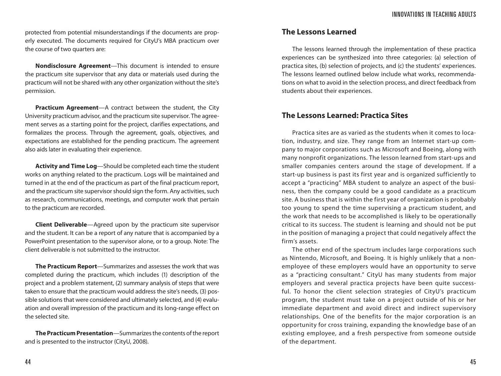protected from potential misunderstandings if the documents are properly executed. The documents required for CityU's MBA practicum over the course of two quarters are:

**Nondisclosure Agreement**—This document is intended to ensure the practicum site supervisor that any data or materials used during the practicum will not be shared with any other organization without the site's permission.

**Practicum Agreement**—A contract between the student, the City University practicum advisor, and the practicum site supervisor. The agreement serves as a starting point for the project, clarifies expectations, and formalizes the process. Through the agreement, goals, objectives, and expectations are established for the pending practicum. The agreement also aids later in evaluating their experience.

**Activity and Time Log**—Should be completed each time the student works on anything related to the practicum. Logs will be maintained and turned in at the end of the practicum as part of the final practicum report, and the practicum site supervisor should sign the form. Any activities, such as research, communications, meetings, and computer work that pertain to the practicum are recorded.

**Client Deliverable**—Agreed upon by the practicum site supervisor and the student. It can be a report of any nature that is accompanied by a PowerPoint presentation to the supervisor alone, or to a group. Note: The client deliverable is not submitted to the instructor.

**The Practicum Report**—Summarizes and assesses the work that was completed during the practicum, which includes (1) description of the project and a problem statement, (2) summary analysis of steps that were taken to ensure that the practicum would address the site's needs, (3) possible solutions that were considered and ultimately selected, and (4) evaluation and overall impression of the practicum and its long-range effect on the selected site.

**The Practicum Presentation**—Summarizes the contents of the report and is presented to the instructor (CityU, 2008).

## **The Lessons Learned**

The lessons learned through the implementation of these practica experiences can be synthesized into three categories: (a) selection of practica sites, (b) selection of projects, and (c) the students' experiences. The lessons learned outlined below include what works, recommendations on what to avoid in the selection process, and direct feedback from students about their experiences.

# **The Lessons Learned: Practica Sites**

Practica sites are as varied as the students when it comes to location, industry, and size. They range from an Internet start-up company to major corporations such as Microsoft and Boeing, along with many nonprofit organizations. The lesson learned from start-ups and smaller companies centers around the stage of development. If a start-up business is past its first year and is organized sufficiently to accept a "practicing" MBA student to analyze an aspect of the business, then the company could be a good candidate as a practicum site. A business that is within the first year of organization is probably too young to spend the time supervising a practicum student, and the work that needs to be accomplished is likely to be operationally critical to its success. The student is learning and should not be put in the position of managing a project that could negatively affect the firm's assets.

The other end of the spectrum includes large corporations such as Nintendo, Microsoft, and Boeing. It is highly unlikely that a nonemployee of these employers would have an opportunity to serve as a "practicing consultant." CityU has many students from major employers and several practica projects have been quite successful. To honor the client selection strategies of CityU's practicum program, the student must take on a project outside of his or her immediate department and avoid direct and indirect supervisory relationships. One of the benefits for the major corporation is an opportunity for cross training, expanding the knowledge base of an existing employee, and a fresh perspective from someone outside of the department.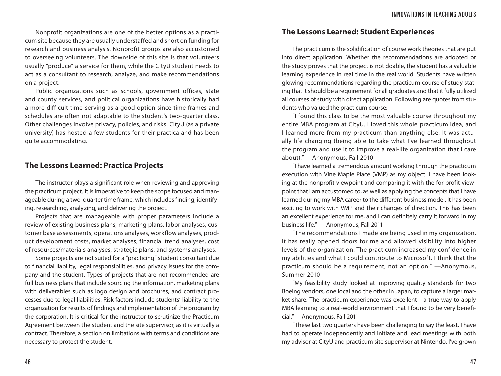Nonprofit organizations are one of the better options as a practicum site because they are usually understaffed and short on funding for research and business analysis. Nonprofit groups are also accustomed to overseeing volunteers. The downside of this site is that volunteers usually "produce" a service for them, while the CityU student needs to act as a consultant to research, analyze, and make recommendations on a project.

Public organizations such as schools, government offices, state and county services, and political organizations have historically had a more difficult time serving as a good option since time frames and schedules are often not adaptable to the student's two-quarter class. Other challenges involve privacy, policies, and risks. CityU (as a private university) has hosted a few students for their practica and has been quite accommodating.

#### **The Lessons Learned: Practica Projects**

The instructor plays a significant role when reviewing and approving the practicum project. It is imperative to keep the scope focused and manageable during a two-quarter time frame, which includes finding, identifying, researching, analyzing, and delivering the project.

Projects that are manageable with proper parameters include a review of existing business plans, marketing plans, labor analyses, customer base assessments, operations analyses, workflow analyses, product development costs, market analyses, financial trend analyses, cost of resources/materials analyses, strategic plans, and systems analyses.

Some projects are not suited for a "practicing" student consultant due to financial liability, legal responsibilities, and privacy issues for the company and the student. Types of projects that are not recommended are full business plans that include sourcing the information, marketing plans with deliverables such as logo design and brochures, and contract processes due to legal liabilities. Risk factors include students' liability to the organization for results of findings and implementation of the program by the corporation. It is critical for the instructor to scrutinize the Practicum Agreement between the student and the site supervisor, as it is virtually a contract. Therefore, a section on limitations with terms and conditions are necessary to protect the student.

## **The Lessons Learned: Student Experiences**

The practicum is the solidification of course work theories that are put into direct application. Whether the recommendations are adopted or the study proves that the project is not doable, the student has a valuable learning experience in real time in the real world. Students have written glowing recommendations regarding the practicum course of study stating that it should be a requirement for all graduates and that it fully utilized all courses of study with direct application. Following are quotes from students who valued the practicum course:

"I found this class to be the most valuable course throughout my entire MBA program at CityU. I loved this whole practicum idea, and I learned more from my practicum than anything else. It was actually life changing (being able to take what I've learned throughout the program and use it to improve a real-life organization that I care about)." —Anonymous, Fall 2010

"I have learned a tremendous amount working through the practicum execution with Vine Maple Place (VMP) as my object. I have been looking at the nonprofit viewpoint and comparing it with the for-profit viewpoint that I am accustomed to, as well as applying the concepts that I have learned during my MBA career to the different business model. It has been exciting to work with VMP and their changes of direction. This has been an excellent experience for me, and I can definitely carry it forward in my business life." — Anonymous, Fall 2011

"The recommendations I made are being used in my organization. It has really opened doors for me and allowed visibility into higher levels of the organization. The practicum increased my confidence in my abilities and what I could contribute to Microsoft. I think that the practicum should be a requirement, not an option." —Anonymous, Summer 2010

"My feasibility study looked at improving quality standards for two Boeing vendors, one local and the other in Japan, to capture a larger market share. The practicum experience was excellent—a true way to apply MBA learning to a real-world environment that I found to be very beneficial." —Anonymous, Fall 2011

"These last two quarters have been challenging to say the least. I have had to operate independently and initiate and lead meetings with both my advisor at CityU and practicum site supervisor at Nintendo. I've grown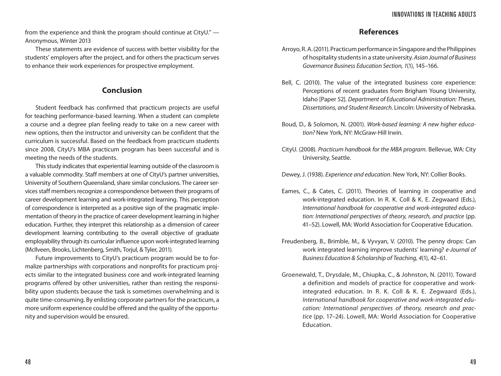from the experience and think the program should continue at CityU." — Anonymous, Winter 2013

These statements are evidence of success with better visibility for the students' employers after the project, and for others the practicum serves to enhance their work experiences for prospective employment.

### **Conclusion**

Student feedback has confirmed that practicum projects are useful for teaching performance-based learning. When a student can complete a course and a degree plan feeling ready to take on a new career with new options, then the instructor and university can be confident that the curriculum is successful. Based on the feedback from practicum students since 2008, CityU's MBA practicum program has been successful and is meeting the needs of the students.

This study indicates that experiential learning outside of the classroom is a valuable commodity. Staff members at one of CityU's partner universities, University of Southern Queensland, share similar conclusions. The career services staff members recognize a correspondence between their programs of career development learning and work-integrated learning. This perception of correspondence is interpreted as a positive sign of the pragmatic implementation of theory in the practice of career development learning in higher education. Further, they interpret this relationship as a dimension of career development learning contributing to the overall objective of graduate employability through its curricular influence upon work-integrated learning (McIlveen, Brooks, Lichtenberg, Smith, Torjul, & Tyler, 2011).

Future improvements to CityU's practicum program would be to formalize partnerships with corporations and nonprofits for practicum projects similar to the integrated business core and work-integrated learning programs offered by other universities, rather than resting the responsibility upon students because the task is sometimes overwhelming and is quite time-consuming. By enlisting corporate partners for the practicum, a more uniform experience could be offered and the quality of the opportunity and supervision would be ensured.

### **References**

- Arroyo, R. A. (2011). Practicum performance in Singapore and the Philippines of hospitality students in a state university. *Asian Journal of Business Governance Business Education Section, 1*(1), 145–166.
- Bell, C. (2010). The value of the integrated business core experience: Perceptions of recent graduates from Brigham Young University, Idaho [Paper 52]. *Department of Educational Administration: Theses, Dissertations, and Student Research*. Lincoln: University of Nebraska.
- Boud, D., & Solomon, N. (2001). *Work-based learning: A new higher education?* New York, NY: McGraw-Hill Irwin.
- CityU. (2008). *Practicum handbook for the MBA program.* Bellevue, WA: City University, Seattle.

Dewey, J. (1938). *Experience and education*. New York, NY: Collier Books.

- Eames, C., & Cates, C. (2011). Theories of learning in cooperative and work-integrated education. In R. K. Coll & K. E. Zegwaard (Eds.), *International handbook for cooperative and work-integrated education: International perspectives of theory, research, and practice* (pp. 41–52). Lowell, MA: World Association for Cooperative Education.
- Freudenberg, B., Brimble, M., & Vyvyan, V. (2010). The penny drops: Can work integrated learning improve students' learning? *e-Journal of Business Education & Scholarship of Teaching, 4*(1), 42–61.
- Groenewald, T., Drysdale, M., Chiupka, C., & Johnston, N. (2011). Toward a definition and models of practice for cooperative and workintegrated education. In R. K. Coll & K. E. Zegwaard (Eds.), *International handbook for cooperative and work-integrated education: International perspectives of theory, research and practice* (pp. 17–24). Lowell, MA: World Association for Cooperative Education.